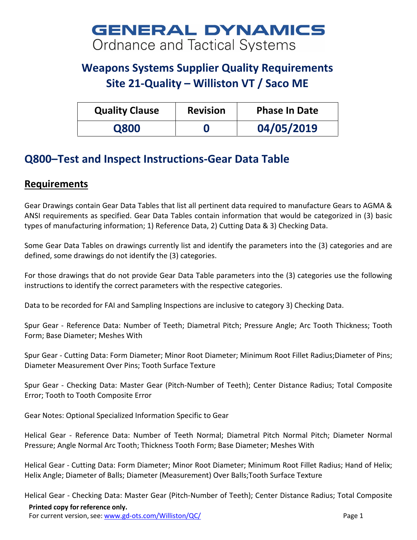## **GENERAL DYNAMICS Ordnance and Tactical Systems**

## **Weapons Systems Supplier Quality Requirements Site 21-Quality – Williston VT / Saco ME**

| <b>Quality Clause</b> | <b>Revision</b> | <b>Phase In Date</b> |
|-----------------------|-----------------|----------------------|
| Q800                  |                 | 04/05/2019           |

## **Q800–Test and Inspect Instructions-Gear Data Table**

## **Requirements**

Gear Drawings contain Gear Data Tables that list all pertinent data required to manufacture Gears to AGMA & ANSI requirements as specified. Gear Data Tables contain information that would be categorized in (3) basic types of manufacturing information; 1) Reference Data, 2) Cutting Data & 3) Checking Data.

Some Gear Data Tables on drawings currently list and identify the parameters into the (3) categories and are defined, some drawings do not identify the (3) categories.

For those drawings that do not provide Gear Data Table parameters into the (3) categories use the following instructions to identify the correct parameters with the respective categories.

Data to be recorded for FAI and Sampling Inspections are inclusive to category 3) Checking Data.

Spur Gear - Reference Data: Number of Teeth; Diametral Pitch; Pressure Angle; Arc Tooth Thickness; Tooth Form; Base Diameter; Meshes With

Spur Gear - Cutting Data: Form Diameter; Minor Root Diameter; Minimum Root Fillet Radius;Diameter of Pins; Diameter Measurement Over Pins; Tooth Surface Texture

Spur Gear - Checking Data: Master Gear (Pitch-Number of Teeth); Center Distance Radius; Total Composite Error; Tooth to Tooth Composite Error

Gear Notes: Optional Specialized Information Specific to Gear

Helical Gear - Reference Data: Number of Teeth Normal; Diametral Pitch Normal Pitch; Diameter Normal Pressure; Angle Normal Arc Tooth; Thickness Tooth Form; Base Diameter; Meshes With

Helical Gear - Cutting Data: Form Diameter; Minor Root Diameter; Minimum Root Fillet Radius; Hand of Helix; Helix Angle; Diameter of Balls; Diameter (Measurement) Over Balls;Tooth Surface Texture

**Printed copy for reference only.** For current version, see: [www.gd-ots.com/Williston/QC/](http://www.gd-ots.com/Williston/QC/) Page 1 Helical Gear - Checking Data: Master Gear (Pitch-Number of Teeth); Center Distance Radius; Total Composite